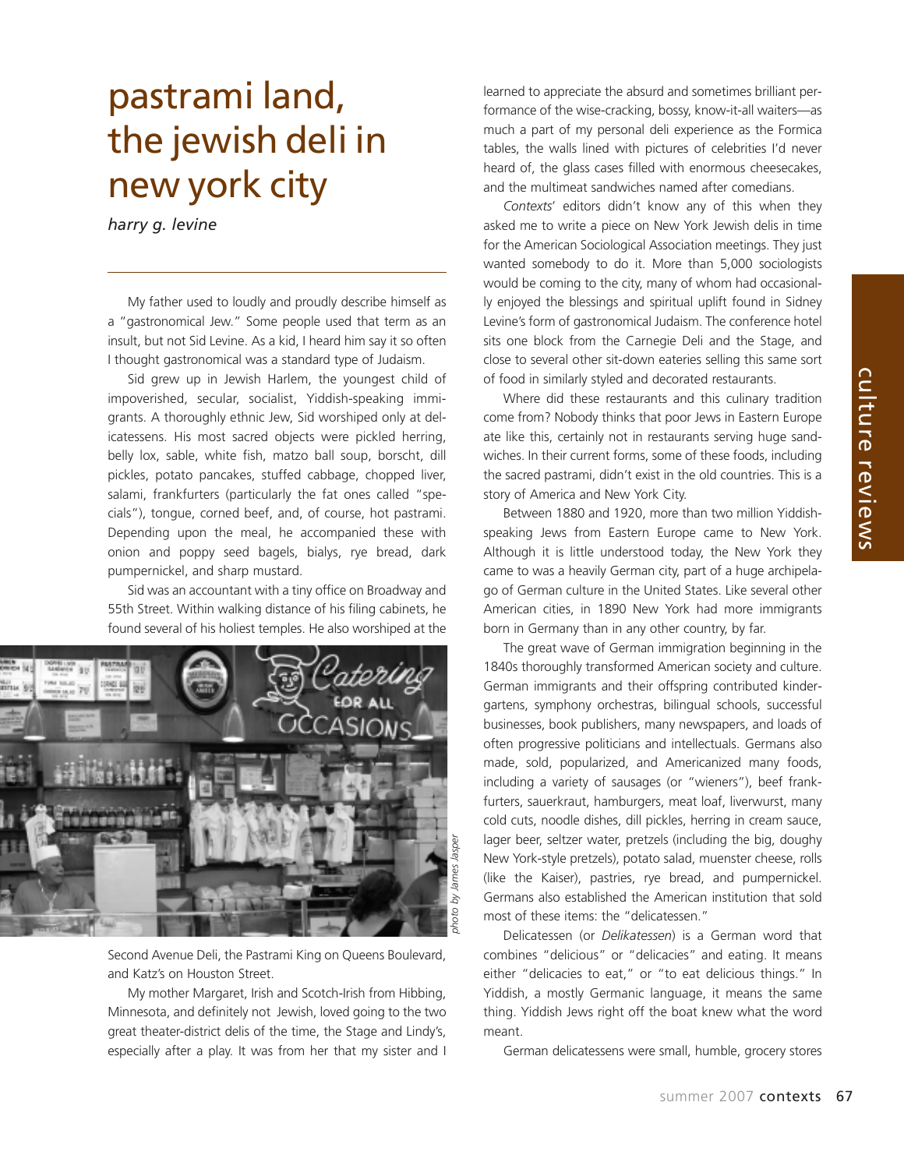## pastrami land, the jewish deli in new york city

*harry g. levine*

My father used to loudly and proudly describe himself as a "gastronomical Jew." Some people used that term as an insult, but not Sid Levine. As a kid, I heard him say it so often I thought gastronomical was a standard type of Judaism.

Sid grew up in Jewish Harlem, the youngest child of impoverished, secular, socialist, Yiddish-speaking immigrants. A thoroughly ethnic Jew, Sid worshiped only at delicatessens. His most sacred objects were pickled herring, belly lox, sable, white fish, matzo ball soup, borscht, dill pickles, potato pancakes, stuffed cabbage, chopped liver, salami, frankfurters (particularly the fat ones called "specials"), tongue, corned beef, and, of course, hot pastrami. Depending upon the meal, he accompanied these with onion and poppy seed bagels, bialys, rye bread, dark pumpernickel, and sharp mustard.

Sid was an accountant with a tiny office on Broadway and 55th Street. Within walking distance of his filing cabinets, he found several of his holiest temples. He also worshiped at the



Second Avenue Deli, the Pastrami King on Queens Boulevard, and Katz's on Houston Street.

My mother Margaret, Irish and Scotch-Irish from Hibbing, Minnesota, and definitely not Jewish, loved going to the two great theater-district delis of the time, the Stage and Lindy's, especially after a play. It was from her that my sister and I learned to appreciate the absurd and sometimes brilliant performance of the wise-cracking, bossy, know-it-all waiters—as much a part of my personal deli experience as the Formica tables, the walls lined with pictures of celebrities I'd never heard of, the glass cases filled with enormous cheesecakes, and the multimeat sandwiches named after comedians.

*Contexts*' editors didn't know any of this when they asked me to write a piece on New York Jewish delis in time for the American Sociological Association meetings. They just wanted somebody to do it. More than 5,000 sociologists would be coming to the city, many of whom had occasionally enjoyed the blessings and spiritual uplift found in Sidney Levine's form of gastronomical Judaism. The conference hotel sits one block from the Carnegie Deli and the Stage, and close to several other sit-down eateries selling this same sort of food in similarly styled and decorated restaurants.

Where did these restaurants and this culinary tradition come from? Nobody thinks that poor Jews in Eastern Europe ate like this, certainly not in restaurants serving huge sandwiches. In their current forms, some of these foods, including the sacred pastrami, didn't exist in the old countries. This is a story of America and New York City.

Between 1880 and 1920, more than two million Yiddishspeaking Jews from Eastern Europe came to New York. Although it is little understood today, the New York they came to was a heavily German city, part of a huge archipelago of German culture in the United States. Like several other American cities, in 1890 New York had more immigrants born in Germany than in any other country, by far.

The great wave of German immigration beginning in the 1840s thoroughly transformed American society and culture. German immigrants and their offspring contributed kindergartens, symphony orchestras, bilingual schools, successful businesses, book publishers, many newspapers, and loads of often progressive politicians and intellectuals. Germans also made, sold, popularized, and Americanized many foods, including a variety of sausages (or "wieners"), beef frankfurters, sauerkraut, hamburgers, meat loaf, liverwurst, many cold cuts, noodle dishes, dill pickles, herring in cream sauce, lager beer, seltzer water, pretzels (including the big, doughy New York-style pretzels), potato salad, muenster cheese, rolls (like the Kaiser), pastries, rye bread, and pumpernickel. Germans also established the American institution that sold most of these items: the "delicatessen."

Delicatessen (or *Delikatessen*) is a German word that combines "delicious" or "delicacies" and eating. It means either "delicacies to eat," or "to eat delicious things." In Yiddish, a mostly Germanic language, it means the same thing. Yiddish Jews right off the boat knew what the word meant.

German delicatessens were small, humble, grocery stores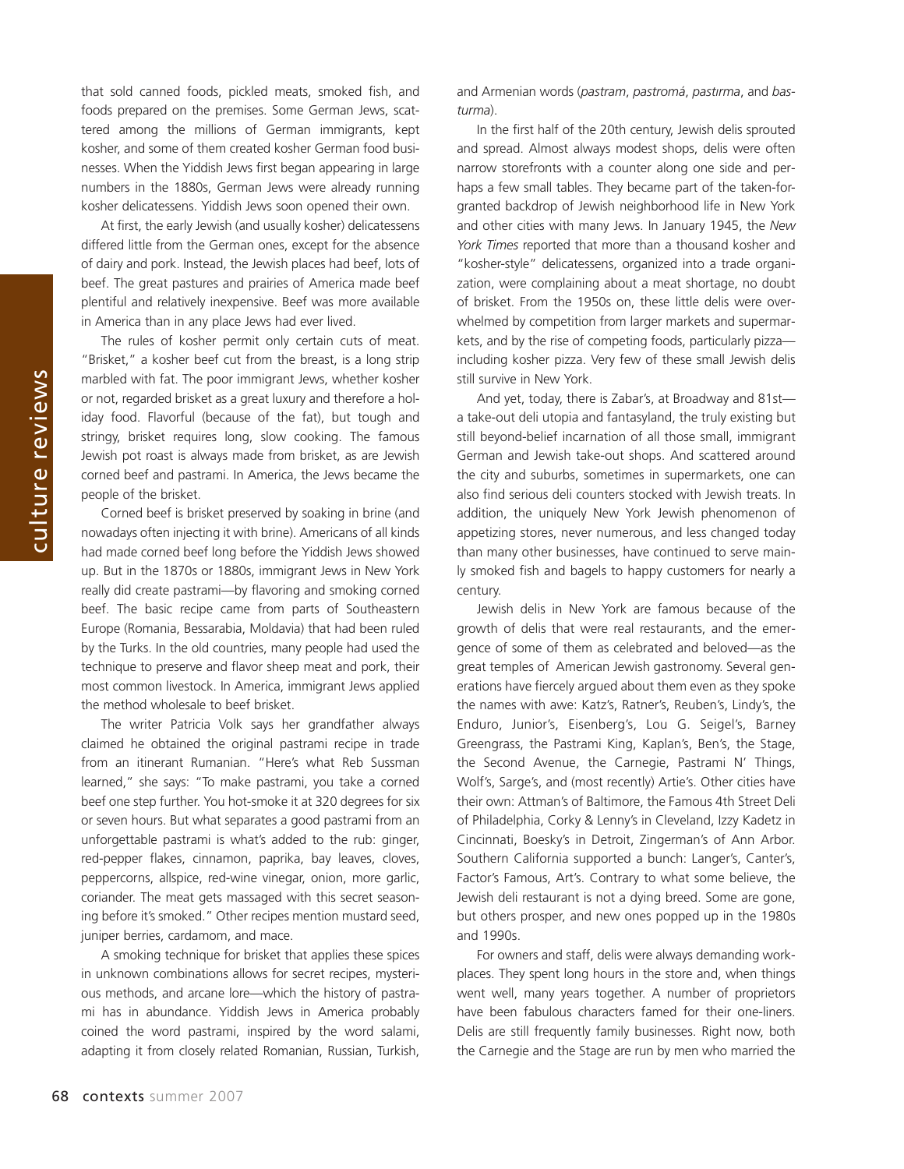culture reviews culture reviews

that sold canned foods, pickled meats, smoked fish, and foods prepared on the premises. Some German Jews, scattered among the millions of German immigrants, kept kosher, and some of them created kosher German food businesses. When the Yiddish Jews first began appearing in large numbers in the 1880s, German Jews were already running kosher delicatessens. Yiddish Jews soon opened their own.

At first, the early Jewish (and usually kosher) delicatessens differed little from the German ones, except for the absence of dairy and pork. Instead, the Jewish places had beef, lots of beef. The great pastures and prairies of America made beef plentiful and relatively inexpensive. Beef was more available in America than in any place Jews had ever lived.

The rules of kosher permit only certain cuts of meat. "Brisket," a kosher beef cut from the breast, is a long strip marbled with fat. The poor immigrant Jews, whether kosher or not, regarded brisket as a great luxury and therefore a holiday food. Flavorful (because of the fat), but tough and stringy, brisket requires long, slow cooking. The famous Jewish pot roast is always made from brisket, as are Jewish corned beef and pastrami. In America, the Jews became the people of the brisket.

Corned beef is brisket preserved by soaking in brine (and nowadays often injecting it with brine). Americans of all kinds had made corned beef long before the Yiddish Jews showed up. But in the 1870s or 1880s, immigrant Jews in New York really did create pastrami—by flavoring and smoking corned beef. The basic recipe came from parts of Southeastern Europe (Romania, Bessarabia, Moldavia) that had been ruled by the Turks. In the old countries, many people had used the technique to preserve and flavor sheep meat and pork, their most common livestock. In America, immigrant Jews applied the method wholesale to beef brisket.

The writer Patricia Volk says her grandfather always claimed he obtained the original pastrami recipe in trade from an itinerant Rumanian. "Here's what Reb Sussman learned," she says: "To make pastrami, you take a corned beef one step further. You hot-smoke it at 320 degrees for six or seven hours. But what separates a good pastrami from an unforgettable pastrami is what's added to the rub: ginger, red-pepper flakes, cinnamon, paprika, bay leaves, cloves, peppercorns, allspice, red-wine vinegar, onion, more garlic, coriander. The meat gets massaged with this secret seasoning before it's smoked." Other recipes mention mustard seed, juniper berries, cardamom, and mace.

A smoking technique for brisket that applies these spices in unknown combinations allows for secret recipes, mysterious methods, and arcane lore—which the history of pastrami has in abundance. Yiddish Jews in America probably coined the word pastrami, inspired by the word salami, adapting it from closely related Romanian, Russian, Turkish, and Armenian words (*pastram*, *pastromá*, *pastırma*, and *basturma*).

In the first half of the 20th century, Jewish delis sprouted and spread. Almost always modest shops, delis were often narrow storefronts with a counter along one side and perhaps a few small tables. They became part of the taken-forgranted backdrop of Jewish neighborhood life in New York and other cities with many Jews. In January 1945, the *New York Times* reported that more than a thousand kosher and "kosher-style" delicatessens, organized into a trade organization, were complaining about a meat shortage, no doubt of brisket. From the 1950s on, these little delis were overwhelmed by competition from larger markets and supermarkets, and by the rise of competing foods, particularly pizza including kosher pizza. Very few of these small Jewish delis still survive in New York.

And yet, today, there is Zabar's, at Broadway and 81st a take-out deli utopia and fantasyland, the truly existing but still beyond-belief incarnation of all those small, immigrant German and Jewish take-out shops. And scattered around the city and suburbs, sometimes in supermarkets, one can also find serious deli counters stocked with Jewish treats. In addition, the uniquely New York Jewish phenomenon of appetizing stores, never numerous, and less changed today than many other businesses, have continued to serve mainly smoked fish and bagels to happy customers for nearly a century.

Jewish delis in New York are famous because of the growth of delis that were real restaurants, and the emergence of some of them as celebrated and beloved—as the great temples of American Jewish gastronomy. Several generations have fiercely argued about them even as they spoke the names with awe: Katz's, Ratner's, Reuben's, Lindy's, the Enduro, Junior's, Eisenberg's, Lou G. Seigel's, Barney Greengrass, the Pastrami King, Kaplan's, Ben's, the Stage, the Second Avenue, the Carnegie, Pastrami N' Things, Wolf's, Sarge's, and (most recently) Artie's. Other cities have their own: Attman's of Baltimore, the Famous 4th Street Deli of Philadelphia, Corky & Lenny's in Cleveland, Izzy Kadetz in Cincinnati, Boesky's in Detroit, Zingerman's of Ann Arbor. Southern California supported a bunch: Langer's, Canter's, Factor's Famous, Art's. Contrary to what some believe, the Jewish deli restaurant is not a dying breed. Some are gone, but others prosper, and new ones popped up in the 1980s and 1990s.

For owners and staff, delis were always demanding workplaces. They spent long hours in the store and, when things went well, many years together. A number of proprietors have been fabulous characters famed for their one-liners. Delis are still frequently family businesses. Right now, both the Carnegie and the Stage are run by men who married the